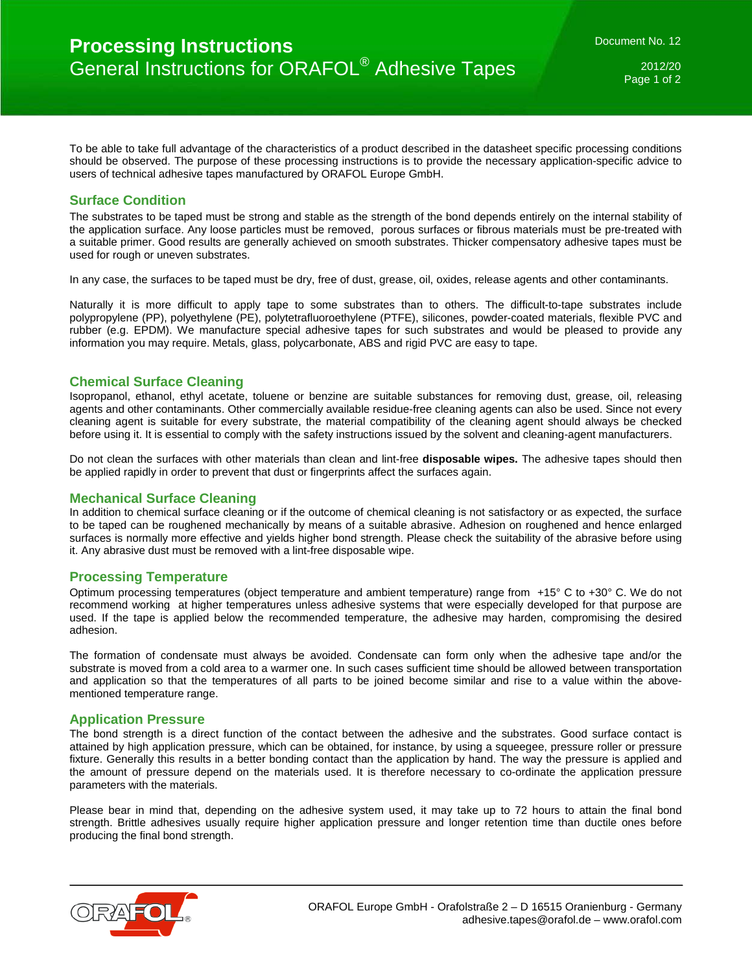2012/20 Page 1 of 2

To be able to take full advantage of the characteristics of a product described in the datasheet specific processing conditions should be observed. The purpose of these processing instructions is to provide the necessary application-specific advice to users of technical adhesive tapes manufactured by ORAFOL Europe GmbH.

# **Surface Condition**

The substrates to be taped must be strong and stable as the strength of the bond depends entirely on the internal stability of the application surface. Any loose particles must be removed, porous surfaces or fibrous materials must be pre-treated with a suitable primer. Good results are generally achieved on smooth substrates. Thicker compensatory adhesive tapes must be used for rough or uneven substrates.

In any case, the surfaces to be taped must be dry, free of dust, grease, oil, oxides, release agents and other contaminants.

Naturally it is more difficult to apply tape to some substrates than to others. The difficult-to-tape substrates include polypropylene (PP), polyethylene (PE), polytetrafluoroethylene (PTFE), silicones, powder-coated materials, flexible PVC and rubber (e.g. EPDM). We manufacture special adhesive tapes for such substrates and would be pleased to provide any information you may require. Metals, glass, polycarbonate, ABS and rigid PVC are easy to tape.

# **Chemical Surface Cleaning**

Isopropanol, ethanol, ethyl acetate, toluene or benzine are suitable substances for removing dust, grease, oil, releasing agents and other contaminants. Other commercially available residue-free cleaning agents can also be used. Since not every cleaning agent is suitable for every substrate, the material compatibility of the cleaning agent should always be checked before using it. It is essential to comply with the safety instructions issued by the solvent and cleaning-agent manufacturers.

Do not clean the surfaces with other materials than clean and lint-free **disposable wipes.** The adhesive tapes should then be applied rapidly in order to prevent that dust or fingerprints affect the surfaces again.

### **Mechanical Surface Cleaning**

In addition to chemical surface cleaning or if the outcome of chemical cleaning is not satisfactory or as expected, the surface to be taped can be roughened mechanically by means of a suitable abrasive. Adhesion on roughened and hence enlarged surfaces is normally more effective and yields higher bond strength. Please check the suitability of the abrasive before using it. Any abrasive dust must be removed with a lint-free disposable wipe.

### **Processing Temperature**

Optimum processing temperatures (object temperature and ambient temperature) range from +15° C to +30° C. We do not recommend working at higher temperatures unless adhesive systems that were especially developed for that purpose are used. If the tape is applied below the recommended temperature, the adhesive may harden, compromising the desired adhesion.

The formation of condensate must always be avoided. Condensate can form only when the adhesive tape and/or the substrate is moved from a cold area to a warmer one. In such cases sufficient time should be allowed between transportation and application so that the temperatures of all parts to be joined become similar and rise to a value within the abovementioned temperature range.

### **Application Pressure**

The bond strength is a direct function of the contact between the adhesive and the substrates. Good surface contact is attained by high application pressure, which can be obtained, for instance, by using a squeegee, pressure roller or pressure fixture. Generally this results in a better bonding contact than the application by hand. The way the pressure is applied and the amount of pressure depend on the materials used. It is therefore necessary to co-ordinate the application pressure parameters with the materials.

Please bear in mind that, depending on the adhesive system used, it may take up to 72 hours to attain the final bond strength. Brittle adhesives usually require higher application pressure and longer retention time than ductile ones before producing the final bond strength.